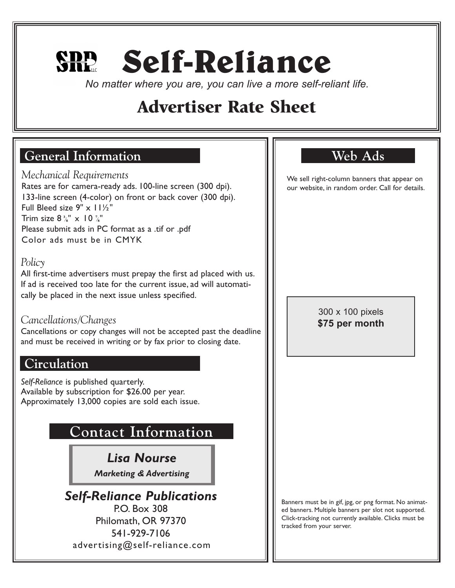# **Self-Reliance**

*No matter where you are, you can live a more self-reliant life.*

## Advertiser Rate Sheet

## **General Information**

*Mechanical Requirements* Rates are for camera-ready ads. 100-line screen (300 dpi). 133-line screen (4-color) on front or back cover (300 dpi). Full Bleed size 9" x 11½" Trim size  $8\frac{3}{8}$ " x 10  $\frac{7}{8}$ " **/** Please submit ads in PC format as a .tif or .pdf Color ads must be in CMYK

#### *Policy*

All first-time advertisers must prepay the first ad placed with us. If ad is received too late for the current issue, ad will automatically be placed in the next issue unless specified.

#### *Cancellations/Changes*

Cancellations or copy changes will not be accepted past the deadline and must be received in writing or by fax prior to closing date.

## **Circulation**

*Self-Reliance* is published quarterly. Available by subscription for \$26.00 per year. Approximately 13,000 copies are sold each issue.

## **Contact Information**

*Lisa Nourse*

*Marketing & Advertising* 

*Self-Reliance Publications* P.O. Box 308 Philomath, OR 97370 541-929-7106 advertising@self-reliance.com

## **Web Ads**

We sell right-column banners that appear on our website, in random order. Call for details.

> 300 x 100 pixels **\$75 per month**

Banners must be in gif, jpg, or png format. No animated banners. Multiple banners per slot not supported. Click-tracking not currently available. Clicks must be tracked from your server.